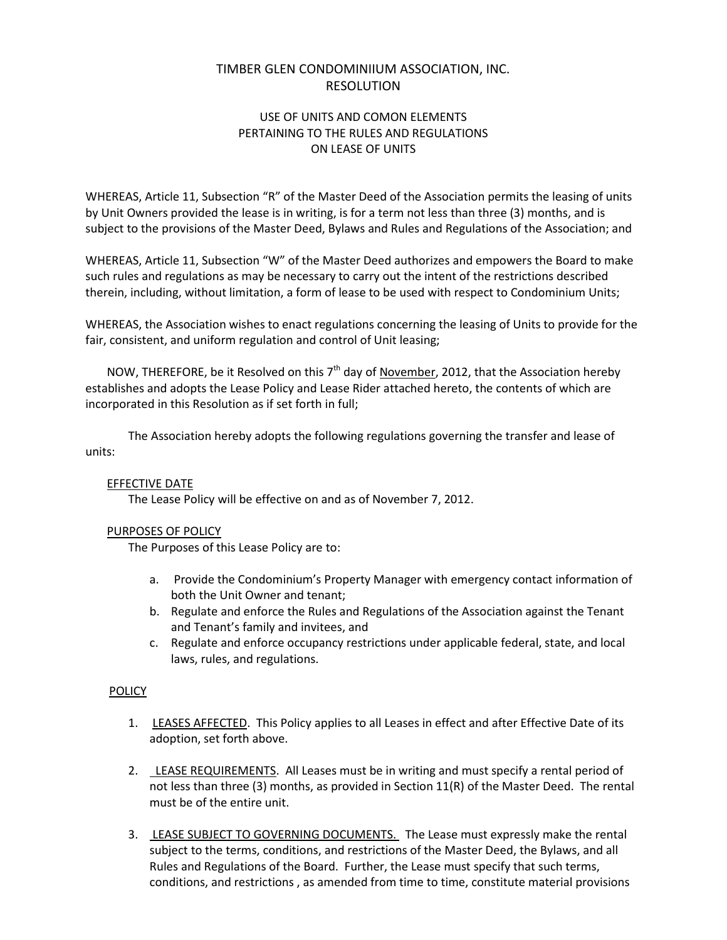# TIMBER GLEN CONDOMINIIUM ASSOCIATION, INC. RESOLUTION

### USE OF UNITS AND COMON ELEMENTS PERTAINING TO THE RULES AND REGULATIONS ON LEASE OF UNITS

WHEREAS, Article 11, Subsection "R" of the Master Deed of the Association permits the leasing of units by Unit Owners provided the lease is in writing, is for a term not less than three (3) months, and is subject to the provisions of the Master Deed, Bylaws and Rules and Regulations of the Association; and

WHEREAS, Article 11, Subsection "W" of the Master Deed authorizes and empowers the Board to make such rules and regulations as may be necessary to carry out the intent of the restrictions described therein, including, without limitation, a form of lease to be used with respect to Condominium Units;

WHEREAS, the Association wishes to enact regulations concerning the leasing of Units to provide for the fair, consistent, and uniform regulation and control of Unit leasing;

NOW, THEREFORE, be it Resolved on this  $7<sup>th</sup>$  day of November, 2012, that the Association hereby establishes and adopts the Lease Policy and Lease Rider attached hereto, the contents of which are incorporated in this Resolution as if set forth in full;

The Association hereby adopts the following regulations governing the transfer and lease of units:

### EFFECTIVE DATE

The Lease Policy will be effective on and as of November 7, 2012.

#### PURPOSES OF POLICY

The Purposes of this Lease Policy are to:

- a. Provide the Condominium's Property Manager with emergency contact information of both the Unit Owner and tenant;
- b. Regulate and enforce the Rules and Regulations of the Association against the Tenant and Tenant's family and invitees, and
- c. Regulate and enforce occupancy restrictions under applicable federal, state, and local laws, rules, and regulations.

#### **POLICY**

- 1. LEASES AFFECTED. This Policy applies to all Leases in effect and after Effective Date of its adoption, set forth above.
- 2. LEASE REQUIREMENTS. All Leases must be in writing and must specify a rental period of not less than three (3) months, as provided in Section 11(R) of the Master Deed. The rental must be of the entire unit.
- 3. LEASE SUBJECT TO GOVERNING DOCUMENTS. The Lease must expressly make the rental subject to the terms, conditions, and restrictions of the Master Deed, the Bylaws, and all Rules and Regulations of the Board. Further, the Lease must specify that such terms, conditions, and restrictions , as amended from time to time, constitute material provisions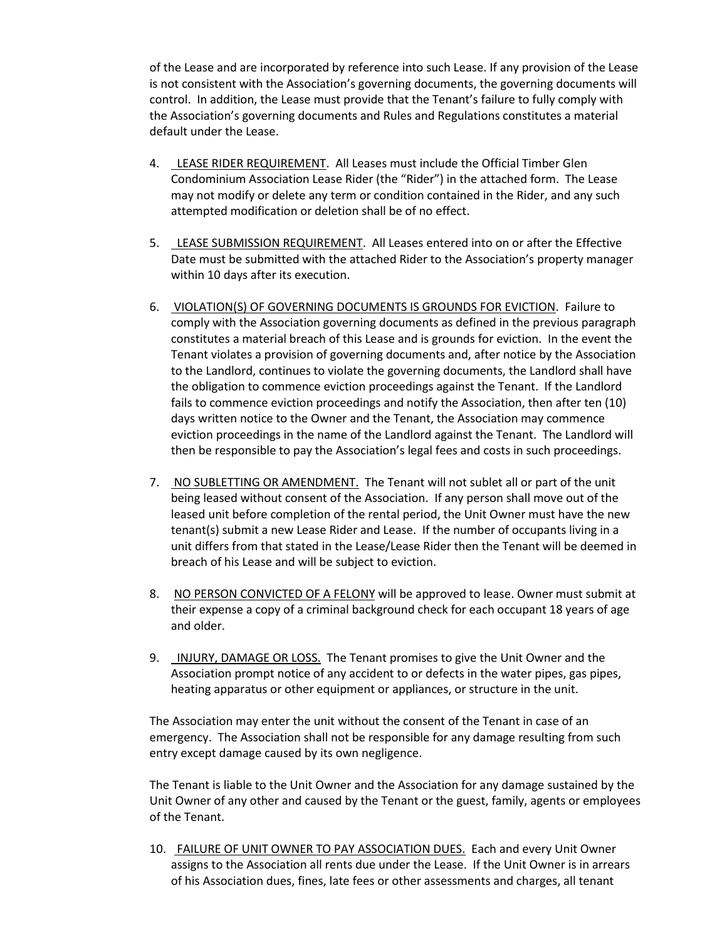of the Lease and are incorporated by reference into such Lease. If any provision of the Lease is not consistent with the Association's governing documents, the governing documents will control. In addition, the Lease must provide that the Tenant's failure to fully comply with the Association's governing documents and Rules and Regulations constitutes a material default under the Lease.

- 4. LEASE RIDER REQUIREMENT. All Leases must include the Official Timber Glen Condominium Association Lease Rider (the "Rider") in the attached form. The Lease may not modify or delete any term or condition contained in the Rider, and any such attempted modification or deletion shall be of no effect.
- 5. LEASE SUBMISSION REQUIREMENT. All Leases entered into on or after the Effective Date must be submitted with the attached Rider to the Association's property manager within 10 days after its execution.
- 6. VIOLATION(S) OF GOVERNING DOCUMENTS IS GROUNDS FOR EVICTION. Failure to comply with the Association governing documents as defined in the previous paragraph constitutes a material breach of this Lease and is grounds for eviction. In the event the Tenant violates a provision of governing documents and, after notice by the Association to the Landlord, continues to violate the governing documents, the Landlord shall have the obligation to commence eviction proceedings against the Tenant. If the Landlord fails to commence eviction proceedings and notify the Association, then after ten (10) days written notice to the Owner and the Tenant, the Association may commence eviction proceedings in the name of the Landlord against the Tenant. The Landlord will then be responsible to pay the Association's legal fees and costs in such proceedings.
- 7. NO SUBLETTING OR AMENDMENT. The Tenant will not sublet all or part of the unit being leased without consent of the Association. If any person shall move out of the leased unit before completion of the rental period, the Unit Owner must have the new tenant(s) submit a new Lease Rider and Lease. If the number of occupants living in a unit differs from that stated in the Lease/Lease Rider then the Tenant will be deemed in breach of his Lease and will be subject to eviction.
- 8. NO PERSON CONVICTED OF A FELONY will be approved to lease. Owner must submit at their expense a copy of a criminal background check for each occupant 18 years of age and older.
- 9. INJURY, DAMAGE OR LOSS. The Tenant promises to give the Unit Owner and the Association prompt notice of any accident to or defects in the water pipes, gas pipes, heating apparatus or other equipment or appliances, or structure in the unit.

The Association may enter the unit without the consent of the Tenant in case of an emergency. The Association shall not be responsible for any damage resulting from such entry except damage caused by its own negligence.

The Tenant is liable to the Unit Owner and the Association for any damage sustained by the Unit Owner of any other and caused by the Tenant or the guest, family, agents or employees of the Tenant.

10. FAILURE OF UNIT OWNER TO PAY ASSOCIATION DUES. Each and every Unit Owner assigns to the Association all rents due under the Lease. If the Unit Owner is in arrears of his Association dues, fines, late fees or other assessments and charges, all tenant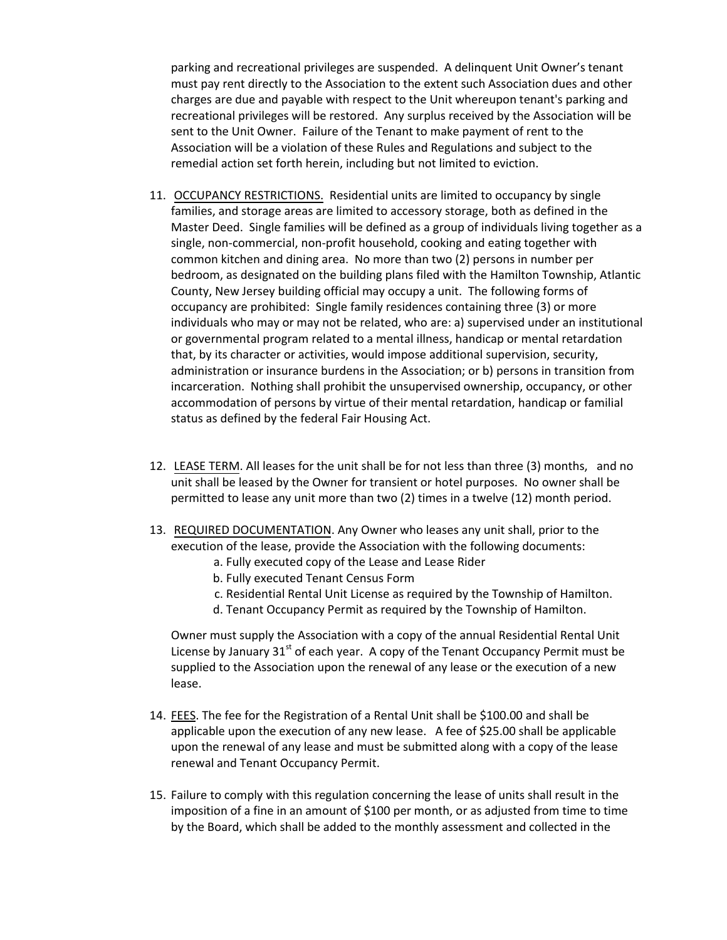parking and recreational privileges are suspended. A delinquent Unit Owner's tenant must pay rent directly to the Association to the extent such Association dues and other charges are due and payable with respect to the Unit whereupon tenant's parking and recreational privileges will be restored. Any surplus received by the Association will be sent to the Unit Owner. Failure of the Tenant to make payment of rent to the Association will be a violation of these Rules and Regulations and subject to the remedial action set forth herein, including but not limited to eviction.

- 11. OCCUPANCY RESTRICTIONS. Residential units are limited to occupancy by single families, and storage areas are limited to accessory storage, both as defined in the Master Deed. Single families will be defined as a group of individuals living together as a single, non-commercial, non-profit household, cooking and eating together with common kitchen and dining area. No more than two (2) persons in number per bedroom, as designated on the building plans filed with the Hamilton Township, Atlantic County, New Jersey building official may occupy a unit. The following forms of occupancy are prohibited: Single family residences containing three (3) or more individuals who may or may not be related, who are: a) supervised under an institutional or governmental program related to a mental illness, handicap or mental retardation that, by its character or activities, would impose additional supervision, security, administration or insurance burdens in the Association; or b) persons in transition from incarceration. Nothing shall prohibit the unsupervised ownership, occupancy, or other accommodation of persons by virtue of their mental retardation, handicap or familial status as defined by the federal Fair Housing Act.
- 12. LEASE TERM. All leases for the unit shall be for not less than three (3) months, and no unit shall be leased by the Owner for transient or hotel purposes. No owner shall be permitted to lease any unit more than two (2) times in a twelve (12) month period.
- 13. REQUIRED DOCUMENTATION. Any Owner who leases any unit shall, prior to the execution of the lease, provide the Association with the following documents:
	- a. Fully executed copy of the Lease and Lease Rider
	- b. Fully executed Tenant Census Form
	- c. Residential Rental Unit License as required by the Township of Hamilton.
	- d. Tenant Occupancy Permit as required by the Township of Hamilton.

Owner must supply the Association with a copy of the annual Residential Rental Unit License by January  $31<sup>st</sup>$  of each year. A copy of the Tenant Occupancy Permit must be supplied to the Association upon the renewal of any lease or the execution of a new lease.

- 14. FEES. The fee for the Registration of a Rental Unit shall be \$100.00 and shall be applicable upon the execution of any new lease. A fee of \$25.00 shall be applicable upon the renewal of any lease and must be submitted along with a copy of the lease renewal and Tenant Occupancy Permit.
- 15. Failure to comply with this regulation concerning the lease of units shall result in the imposition of a fine in an amount of \$100 per month, or as adjusted from time to time by the Board, which shall be added to the monthly assessment and collected in the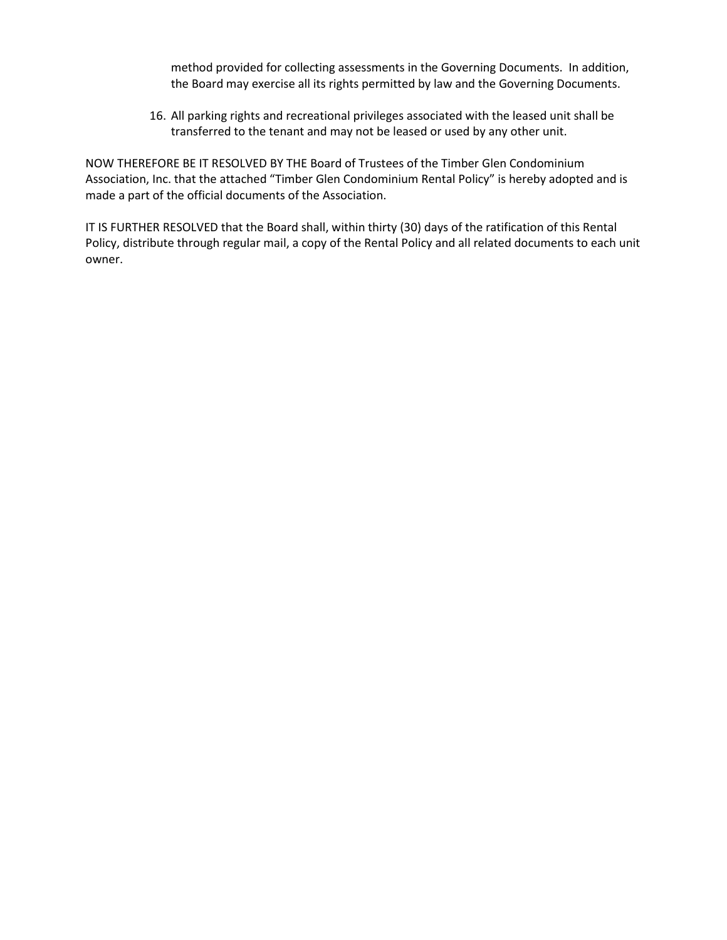method provided for collecting assessments in the Governing Documents. In addition, the Board may exercise all its rights permitted by law and the Governing Documents.

16. All parking rights and recreational privileges associated with the leased unit shall be transferred to the tenant and may not be leased or used by any other unit.

NOW THEREFORE BE IT RESOLVED BY THE Board of Trustees of the Timber Glen Condominium Association, Inc. that the attached "Timber Glen Condominium Rental Policy" is hereby adopted and is made a part of the official documents of the Association.

IT IS FURTHER RESOLVED that the Board shall, within thirty (30) days of the ratification of this Rental Policy, distribute through regular mail, a copy of the Rental Policy and all related documents to each unit owner.